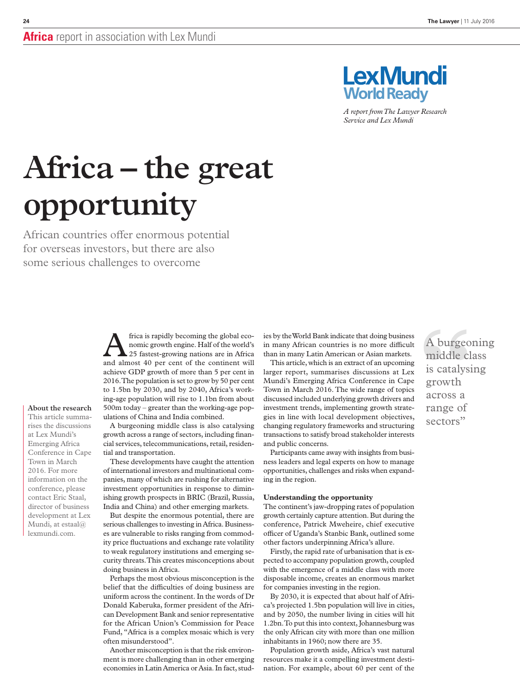

*A report from The Lawyer Research Service and Lex Mundi*

# **Africa – the great opportunity**

African countries offer enormous potential for overseas investors, but there are also some serious challenges to overcome

rises the discussions at Lex Mundi's Emerging Africa Conference in Cape Town in March 2016. For more information on the conference, please contact Eric Staal, director of business development at Lex Mundi, at estaal@ lexmundi.com.

**About the research**

Frica is rapidly becoming the global eco-<br>
25 fastest-growing nations are in Africa<br>
27 fastest-growing nations are in Africa<br>
28 and almost 40 per cent of the continent will nomic growth engine. Half of the world's and almost 40 per cent of the continent will achieve GDP growth of more than 5 per cent in 2016. The population is set to grow by 50 per cent to 1.5bn by 2030, and by 2040, Africa's working-age population will rise to 1.1bn from about 500m today – greater than the working-age populations of China and India combined.

A burgeoning middle class is also catalysing growth across a range of sectors, including financial services, telecommunications, retail, residential and transportation.

These developments have caught the attention of international investors and multinational companies, many of which are rushing for alternative investment opportunities in response to diminishing growth prospects in BRIC (Brazil, Russia, India and China) and other emerging markets.

But despite the enormous potential, there are serious challenges to investing in Africa. Businesses are vulnerable to risks ranging from commodity price fluctuations and exchange rate volatility to weak regulatory institutions and emerging security threats. This creates misconceptions about doing business in Africa.

Perhaps the most obvious misconception is the belief that the difficulties of doing business are uniform across the continent. In the words of Dr Donald Kaberuka, former president of the African Development Bank and senior representative for the African Union's Commission for Peace Fund, "Africa is a complex mosaic which is very often misunderstood".

Another misconception is that the risk environment is more challenging than in other emerging economies in Latin America or Asia. In fact, studies by the World Bank indicate that doing business in many African countries is no more difficult than in many Latin American or Asian markets.

This article, which is an extract of an upcoming larger report, summarises discussions at Lex Mundi's Emerging Africa Conference in Cape Town in March 2016. The wide range of topics discussed included underlying growth drivers and investment trends, implementing growth strate-This article summa-<br>rises the discussions and hyperoning middle class is also catalysing changing regulatory frameworks and structuring Sectors" changing regulatory frameworks and structuring transactions to satisfy broad stakeholder interests and public concerns.

> Participants came away with insights from business leaders and legal experts on how to manage opportunities, challenges and risks when expanding in the region.

#### **Understanding the opportunity**

The continent's jaw-dropping rates of population growth certainly capture attention. But during the conference, Patrick Mweheire, chief executive officer of Uganda's Stanbic Bank, outlined some other factors underpinning Africa's allure.

Firstly, the rapid rate of urbanisation that is expected to accompany population growth, coupled with the emergence of a middle class with more disposable income, creates an enormous market for companies investing in the region.

By 2030, it is expected that about half of Africa's projected 1.5bn population will live in cities, and by 2050, the number living in cities will hit 1.2bn. To put this into context, Johannesburg was the only African city with more than one million inhabitants in 1960; now there are 35.

Population growth aside, Africa's vast natural resources make it a compelling investment destination. For example, about 60 per cent of the A burgeoning middle class is catalysing growth across a range of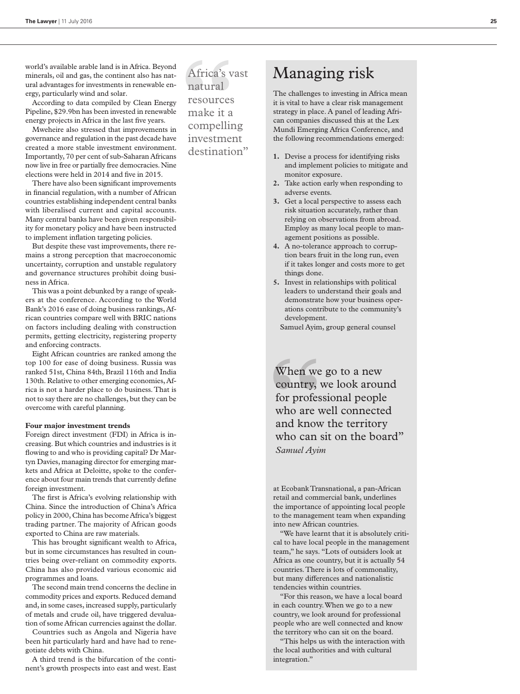world's available arable land is in Africa. Beyond minerals, oil and gas, the continent also has natural advantages for investments in renewable energy, particularly wind and solar.

According to data compiled by Clean Energy Pipeline, \$29.9bn has been invested in renewable energy projects in Africa in the last five years.

Mweheire also stressed that improvements in governance and regulation in the past decade have created a more stable investment environment. Importantly, 70 per cent of sub-Saharan Africans now live in free or partially free democracies. Nine elections were held in 2014 and five in 2015.

There have also been significant improvements in financial regulation, with a number of African countries establishing independent central banks with liberalised current and capital accounts. Many central banks have been given responsibility for monetary policy and have been instructed to implement inflation targeting policies.

But despite these vast improvements, there remains a strong perception that macroeconomic uncertainty, corruption and unstable regulatory and governance structures prohibit doing business in Africa.

This was a point debunked by a range of speakers at the conference. According to the World Bank's 2016 ease of doing business rankings, African countries compare well with BRIC nations on factors including dealing with construction permits, getting electricity, registering property and enforcing contracts.

Eight African countries are ranked among the top 100 for ease of doing business. Russia was ranked 51st, China 84th, Brazil 116th and India 130th. Relative to other emerging economies, Africa is not a harder place to do business. That is not to say there are no challenges, but they can be overcome with careful planning.

#### **Four major investment trends**

Foreign direct investment (FDI) in Africa is increasing. But which countries and industries is it flowing to and who is providing capital? Dr Martyn Davies, managing director for emerging markets and Africa at Deloitte, spoke to the conference about four main trends that currently define foreign investment.

The first is Africa's evolving relationship with China. Since the introduction of China's Africa policy in 2000, China has become Africa's biggest trading partner. The majority of African goods exported to China are raw materials.

This has brought significant wealth to Africa, but in some circumstances has resulted in countries being over-reliant on commodity exports. China has also provided various economic aid programmes and loans.

The second main trend concerns the decline in commodity prices and exports. Reduced demand and, in some cases, increased supply, particularly of metals and crude oil, have triggered devaluation of some African currencies against the dollar.

Countries such as Angola and Nigeria have been hit particularly hard and have had to renegotiate debts with China.

A third trend is the bifurcation of the continent's growth prospects into east and west. East Africa's vast natural resources make it a compelling investment destination"

# Managing risk

The challenges to investing in Africa mean it is vital to have a clear risk management strategy in place. A panel of leading African companies discussed this at the Lex Mundi Emerging Africa Conference, and the following recommendations emerged:

- **1.** Devise a process for identifying risks and implement policies to mitigate and monitor exposure.
- **2.** Take action early when responding to adverse events.
- **3.** Get a local perspective to assess each risk situation accurately, rather than relying on observations from abroad. Employ as many local people to management positions as possible.
- **4.** A no-tolerance approach to corruption bears fruit in the long run, even if it takes longer and costs more to get things done.
- **5.** Invest in relationships with political leaders to understand their goals and demonstrate how your business operations contribute to the community's development.

Samuel Ayim, group general counsel

When we go to a new country, we look around for professional people who are well connected and know the territory who can sit on the board" *Samuel Ayim*

at Ecobank Transnational, a pan-African retail and commercial bank, underlines the importance of appointing local people to the management team when expanding into new African countries.

"We have learnt that it is absolutely critical to have local people in the management team," he says. "Lots of outsiders look at Africa as one country, but it is actually 54 countries. There is lots of commonality, but many differences and nationalistic tendencies within countries.

"For this reason, we have a local board in each country. When we go to a new country, we look around for professional people who are well connected and know the territory who can sit on the board.

"This helps us with the interaction with the local authorities and with cultural integration."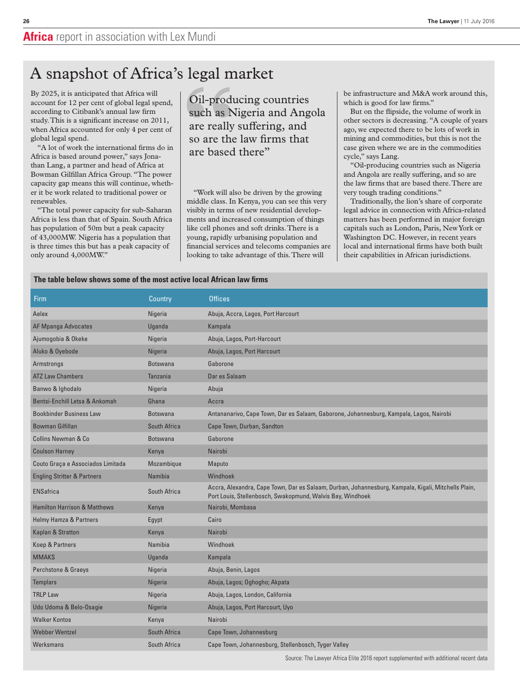## A snapshot of Africa's legal market

By 2025, it is anticipated that Africa will account for 12 per cent of global legal spend, according to Citibank's annual law firm study. This is a significant increase on 2011, when Africa accounted for only 4 per cent of global legal spend.

"A lot of work the international firms do in Africa is based around power," says Jonathan Lang, a partner and head of Africa at Bowman Gilfillan Africa Group. "The power capacity gap means this will continue, whether it be work related to traditional power or renewables.

"The total power capacity for sub-Saharan Africa is less than that of Spain. South Africa has population of 50m but a peak capacity of 43,000MW. Nigeria has a population that is three times this but has a peak capacity of only around 4,000MW."

Oil-producing countries such as Nigeria and Angola are really suffering, and so are the law firms that are based there"

"Work will also be driven by the growing middle class. In Kenya, you can see this very visibly in terms of new residential developments and increased consumption of things like cell phones and soft drinks. There is a young, rapidly urbanising population and financial services and telecoms companies are looking to take advantage of this. There will

be infrastructure and M&A work around this, which is good for law firms."

But on the flipside, the volume of work in other sectors is decreasing. "A couple of years ago, we expected there to be lots of work in mining and commodities, but this is not the case given where we are in the commodities cycle," says Lang.

"Oil-producing countries such as Nigeria and Angola are really suffering, and so are the law firms that are based there. There are very tough trading conditions."

Traditionally, the lion's share of corporate legal advice in connection with Africa-related matters has been performed in major foreign capitals such as London, Paris, New York or Washington DC. However, in recent years local and international firms have both built their capabilities in African jurisdictions.

#### **The table below shows some of the most active local African law firms**

| Firm                                    | Country         | <b>Offices</b>                                                                                                                                                    |
|-----------------------------------------|-----------------|-------------------------------------------------------------------------------------------------------------------------------------------------------------------|
| Aelex                                   | Nigeria         | Abuja, Accra, Lagos, Port Harcourt                                                                                                                                |
| <b>AF Mpanga Advocates</b>              | Uganda          | Kampala                                                                                                                                                           |
| Ajumogobia & Okeke                      | Nigeria         | Abuja, Lagos, Port-Harcourt                                                                                                                                       |
| Aluko & Oyebode                         | Nigeria         | Abuja, Lagos, Port Harcourt                                                                                                                                       |
| Armstrongs                              | <b>Botswana</b> | Gaborone                                                                                                                                                          |
| <b>ATZ Law Chambers</b>                 | Tanzania        | Dar es Salaam                                                                                                                                                     |
| Banwo & Ighodalo                        | Nigeria         | Abuja                                                                                                                                                             |
| Bentsi-Enchill Letsa & Ankomah          | Ghana           | Accra                                                                                                                                                             |
| <b>Bookbinder Business Law</b>          | <b>Botswana</b> | Antananarivo, Cape Town, Dar es Salaam, Gaborone, Johannesburg, Kampala, Lagos, Nairobi                                                                           |
| <b>Bowman Gilfillan</b>                 | South Africa    | Cape Town, Durban, Sandton                                                                                                                                        |
| Collins Newman & Co.                    | <b>Botswana</b> | Gaborone                                                                                                                                                          |
| <b>Coulson Harney</b>                   | Kenya           | Nairobi                                                                                                                                                           |
| Couto Graça e Associados Limitada       | Mozambique      | Maputo                                                                                                                                                            |
| <b>Engling Stritter &amp; Partners</b>  | Namibia         | Windhoek                                                                                                                                                          |
| <b>ENSafrica</b>                        | South Africa    | Accra, Alexandra, Cape Town, Dar es Salaam, Durban, Johannesburg, Kampala, Kigali, Mitchells Plain,<br>Port Louis, Stellenbosch, Swakopmund, Walvis Bay, Windhoek |
| <b>Hamilton Harrison &amp; Matthews</b> | Kenya           | Nairobi, Mombasa                                                                                                                                                  |
| <b>Helmy Hamza &amp; Partners</b>       | Egypt           | Cairo                                                                                                                                                             |
| Kaplan & Stratton                       | Kenya           | Nairobi                                                                                                                                                           |
| Koep & Partners                         | Namibia         | Windhoek                                                                                                                                                          |
| <b>MMAKS</b>                            | Uganda          | Kampala                                                                                                                                                           |
| Perchstone & Graeys                     | Nigeria         | Abuja, Benin, Lagos                                                                                                                                               |
| Templars                                | Nigeria         | Abuja, Lagos; Oghogho; Akpata                                                                                                                                     |
| <b>TRLP Law</b>                         | Nigeria         | Abuja, Lagos, London, California                                                                                                                                  |
| Udo Udoma & Belo-Osagie                 | Nigeria         | Abuja, Lagos, Port Harcourt, Uyo                                                                                                                                  |
| <b>Walker Kontos</b>                    | Kenya           | Nairobi                                                                                                                                                           |
| <b>Webber Wentzel</b>                   | South Africa    | Cape Town, Johannesburg                                                                                                                                           |
| Werksmans                               | South Africa    | Cape Town, Johannesburg, Stellenbosch, Tyger Valley                                                                                                               |

Source: The Lawyer Africa Elite 2016 report supplemented with additional recent data